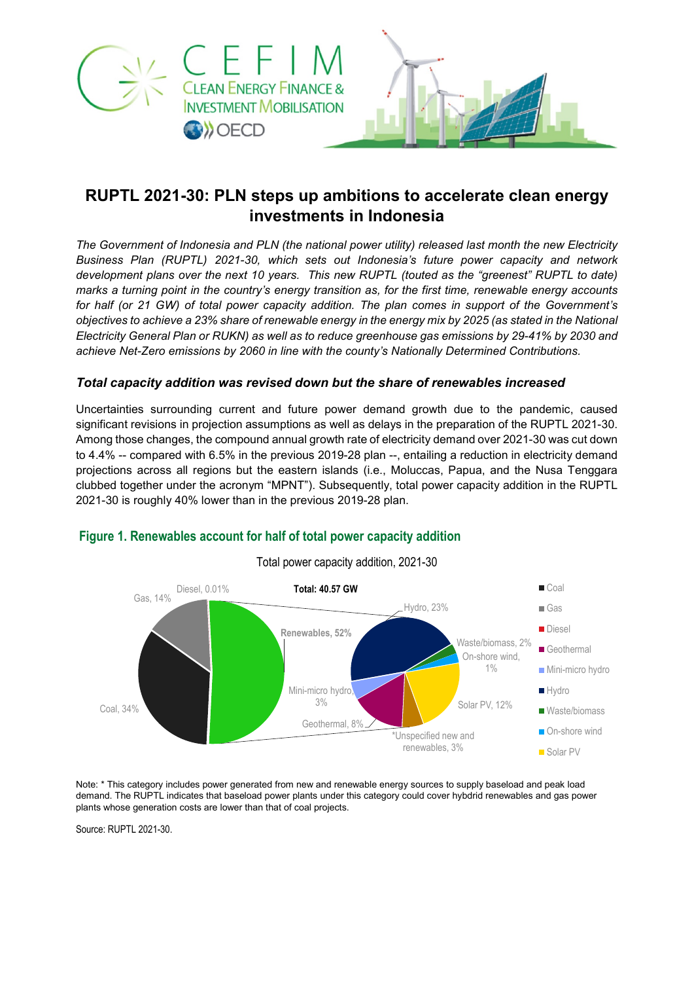



# **RUPTL 2021-30: PLN steps up ambitions to accelerate clean energy investments in Indonesia**

*The Government of Indonesia and PLN (the national power utility) released last month the new Electricity Business Plan (RUPTL) 2021-30, which sets out Indonesia's future power capacity and network development plans over the next 10 years. This new RUPTL (touted as the "greenest" RUPTL to date) marks a turning point in the country's energy transition as, for the first time, renewable energy accounts for half (or 21 GW) of total power capacity addition. The plan comes in support of the Government's objectives to achieve a 23% share of renewable energy in the energy mix by 2025 (as stated in the National Electricity General Plan or RUKN) as well as to reduce greenhouse gas emissions by 29-41% by 2030 and achieve Net-Zero emissions by 2060 in line with the county's Nationally Determined Contributions.* 

#### *Total capacity addition was revised down but the share of renewables increased*

Uncertainties surrounding current and future power demand growth due to the pandemic, caused significant revisions in projection assumptions as well as delays in the preparation of the RUPTL 2021-30. Among those changes, the compound annual growth rate of electricity demand over 2021-30 was cut down to 4.4% -- compared with 6.5% in the previous 2019-28 plan --, entailing a reduction in electricity demand projections across all regions but the eastern islands (i.e., Moluccas, Papua, and the Nusa Tenggara clubbed together under the acronym "MPNT"). Subsequently, total power capacity addition in the RUPTL 2021-30 is roughly 40% lower than in the previous 2019-28 plan.



## **Figure 1. Renewables account for half of total power capacity addition**

Note: \* This category includes power generated from new and renewable energy sources to supply baseload and peak load demand. The RUPTL indicates that baseload power plants under this category could cover hybdrid renewables and gas power plants whose generation costs are lower than that of coal projects.

Source: RUPTL 2021-30.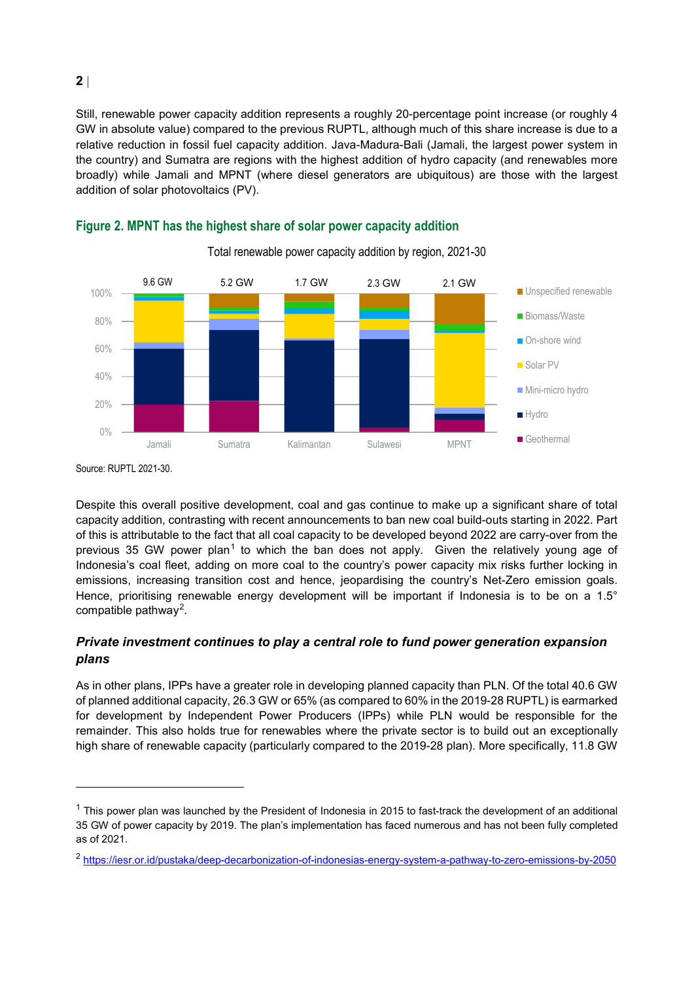Still, renewable power capacity addition represents a roughly 20-percentage point increase (or roughly 4 GW in absolute value) compared to the previous RUPTL, although much of this share increase is due to a relative reduction in fossil fuel capacity addition. Java-Madura-Bali (Jamali, the largest power system in the country) and Sumatra are regions with the highest addition of hydro capacity (and renewables more broadly) while Jamali and MPNT (where diesel generators are ubiquitous) are those with the largest addition of solar photovoltaics (PV).



**Figure 2. MPNT has the highest share of solar power capacity addition** 

Source: RUPTL 2021-30.

 $\overline{a}$ 

Despite this overall positive development, coal and gas continue to make up a significant share of total capacity addition, contrasting with recent announcements to ban new coal build-outs starting in 2022. Part of this is attributable to the fact that all coal capacity to be developed beyond 2022 are carry-over from the previous 35 GW power plan<sup>[1](#page-1-0)</sup> to which the ban does not apply. Given the relatively young age of Indonesia's coal fleet, adding on more coal to the country's power capacity mix risks further locking in emissions, increasing transition cost and hence, jeopardising the country's Net-Zero emission goals. Hence, prioritising renewable energy development will be important if Indonesia is to be on a 1.5° compatible pathway<sup>[2](#page-1-1)</sup>.

### *Private investment continues to play a central role to fund power generation expansion plans*

As in other plans, IPPs have a greater role in developing planned capacity than PLN. Of the total 40.6 GW of planned additional capacity, 26.3 GW or 65% (as compared to 60% in the 2019-28 RUPTL) is earmarked for development by Independent Power Producers (IPPs) while PLN would be responsible for the remainder. This also holds true for renewables where the private sector is to build out an exceptionally high share of renewable capacity (particularly compared to the 2019-28 plan). More specifically, 11.8 GW

<span id="page-1-0"></span> $1$  This power plan was launched by the President of Indonesia in 2015 to fast-track the development of an additional 35 GW of power capacity by 2019. The plan's implementation has faced numerous and has not been fully completed as of 2021.

<span id="page-1-1"></span><sup>2</sup> <https://iesr.or.id/pustaka/deep-decarbonization-of-indonesias-energy-system-a-pathway-to-zero-emissions-by-2050>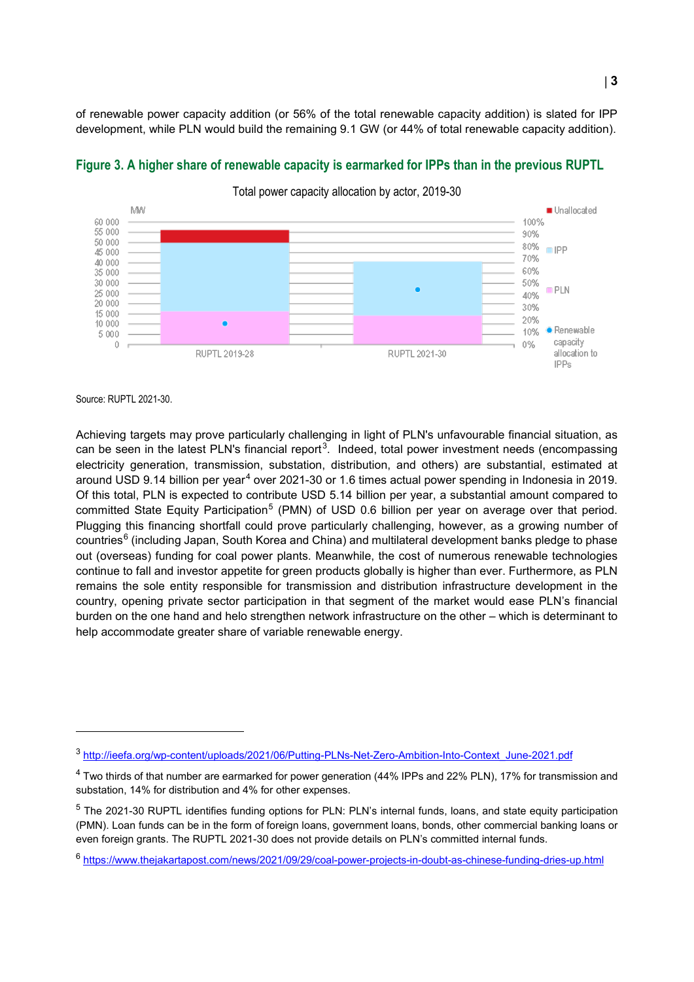of renewable power capacity addition (or 56% of the total renewable capacity addition) is slated for IPP development, while PLN would build the remaining 9.1 GW (or 44% of total renewable capacity addition).



## **Figure 3. A higher share of renewable capacity is earmarked for IPPs than in the previous RUPTL**

Total power capacity allocation by actor, 2019-30

Source: RUPTL 2021-30.

 $\overline{a}$ 

Achieving targets may prove particularly challenging in light of PLN's unfavourable financial situation, as can be seen in the latest PLN's financial report<sup>[3](#page-2-0)</sup>. Indeed, total power investment needs (encompassing electricity generation, transmission, substation, distribution, and others) are substantial, estimated at around USD 9.1[4](#page-2-1) billion per year<sup>4</sup> over 2021-30 or 1.6 times actual power spending in Indonesia in 2019. Of this total, PLN is expected to contribute USD 5.14 billion per year, a substantial amount compared to committed State Equity Participation<sup>[5](#page-2-2)</sup> (PMN) of USD 0.6 billion per year on average over that period. Plugging this financing shortfall could prove particularly challenging, however, as a growing number of countries $<sup>6</sup>$  $<sup>6</sup>$  $<sup>6</sup>$  (including Japan, South Korea and China) and multilateral development banks pledge to phase</sup> out (overseas) funding for coal power plants. Meanwhile, the cost of numerous renewable technologies continue to fall and investor appetite for green products globally is higher than ever. Furthermore, as PLN remains the sole entity responsible for transmission and distribution infrastructure development in the country, opening private sector participation in that segment of the market would ease PLN's financial burden on the one hand and helo strengthen network infrastructure on the other – which is determinant to help accommodate greater share of variable renewable energy.

<span id="page-2-0"></span><sup>3</sup> [http://ieefa.org/wp-content/uploads/2021/06/Putting-PLNs-Net-Zero-Ambition-Into-Context\\_June-2021.pdf](http://ieefa.org/wp-content/uploads/2021/06/Putting-PLNs-Net-Zero-Ambition-Into-Context_June-2021.pdf)

<span id="page-2-1"></span><sup>&</sup>lt;sup>4</sup> Two thirds of that number are earmarked for power generation (44% IPPs and 22% PLN), 17% for transmission and substation, 14% for distribution and 4% for other expenses.

<span id="page-2-2"></span><sup>&</sup>lt;sup>5</sup> The 2021-30 RUPTL identifies funding options for PLN: PLN's internal funds, loans, and state equity participation (PMN). Loan funds can be in the form of foreign loans, government loans, bonds, other commercial banking loans or even foreign grants. The RUPTL 2021-30 does not provide details on PLN's committed internal funds.

<span id="page-2-3"></span><sup>6</sup> <https://www.thejakartapost.com/news/2021/09/29/coal-power-projects-in-doubt-as-chinese-funding-dries-up.html>